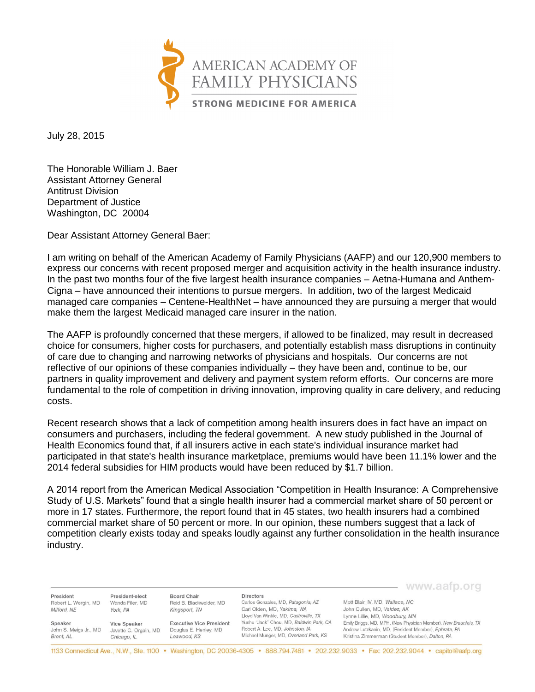

July 28, 2015

The Honorable William J. Baer Assistant Attorney General Antitrust Division Department of Justice Washington, DC 20004

Dear Assistant Attorney General Baer:

I am writing on behalf of the American Academy of Family Physicians (AAFP) and our 120,900 members to express our concerns with recent proposed merger and acquisition activity in the health insurance industry. In the past two months four of the five largest health insurance companies – Aetna-Humana and Anthem-Cigna – have announced their intentions to pursue mergers. In addition, two of the largest Medicaid managed care companies – Centene-HealthNet – have announced they are pursuing a merger that would make them the largest Medicaid managed care insurer in the nation.

The AAFP is profoundly concerned that these mergers, if allowed to be finalized, may result in decreased choice for consumers, higher costs for purchasers, and potentially establish mass disruptions in continuity of care due to changing and narrowing networks of physicians and hospitals. Our concerns are not reflective of our opinions of these companies individually – they have been and, continue to be, our partners in quality improvement and delivery and payment system reform efforts. Our concerns are more fundamental to the role of competition in driving innovation, improving quality in care delivery, and reducing costs.

Recent research shows that a lack of competition among health insurers does in fact have an impact on consumers and purchasers, including the federal government. A new study published in the Journal of Health Economics found that, if all insurers active in each state's individual insurance market had participated in that state's health insurance marketplace, premiums would have been 11.1% lower and the 2014 federal subsidies for HIM products would have been reduced by \$1.7 billion.

A 2014 report from the American Medical Association "Competition in Health Insurance: A Comprehensive Study of U.S. Markets" found that a single health insurer had a commercial market share of 50 percent or more in 17 states. Furthermore, the report found that in 45 states, two health insurers had a combined commercial market share of 50 percent or more. In our opinion, these numbers suggest that a lack of competition clearly exists today and speaks loudly against any further consolidation in the health insurance industry.

|                       |                       |                                 |                                                                     | www.aarp.org                                                     |
|-----------------------|-----------------------|---------------------------------|---------------------------------------------------------------------|------------------------------------------------------------------|
| President             | President-elect       | Board Chair                     | <b>Directors</b>                                                    | Mott Blair, IV, MD, Wallace, NC                                  |
| Robert L. Wergin, MD  | Wanda Filer, MD       | Reid B. Blackwelder, MD         | Carlos Gonzales, MD, Patagonia, AZ                                  |                                                                  |
| Milford, NE           | York, PA              | Kingsport, TN                   | Carl Olden, MD, Yakima, WA<br>Lloyd Van Winkle, MD, Castroville, TX | John Cullen, MD, Valdez, AK<br>Lynne Lillie, MD, Woodbury, MN    |
| Speaker               | Vice Speaker          | <b>Executive Vice President</b> | Yushu "Jack" Chou, MD, Baldwin Park, CA                             | Emily Briggs, MD, MPH, (New Physician Member), New Braunfels, TX |
| John S. Meigs Jr., MD | Javette C. Orgain, MD | Douglas E. Henley, MD           | Robert A. Lee, MD, Johnston, IA                                     | Andrew Lutzkanin, MD, (Resident Member), Ephrata, PA             |
| Brent, AL             | Chicago, IL           | Leawood, KS                     | Michael Munger, MD, Overland Park, KS                               | Kristina Zimmerman (Student Member), Dalton, PA                  |

1133 Connecticut Ave., N.W., Ste. 1100 • Washington, DC 20036-4305 • 888.794.7481 • 202.232.9033 • Fax: 202.232.9044 • capitol@aafp.org